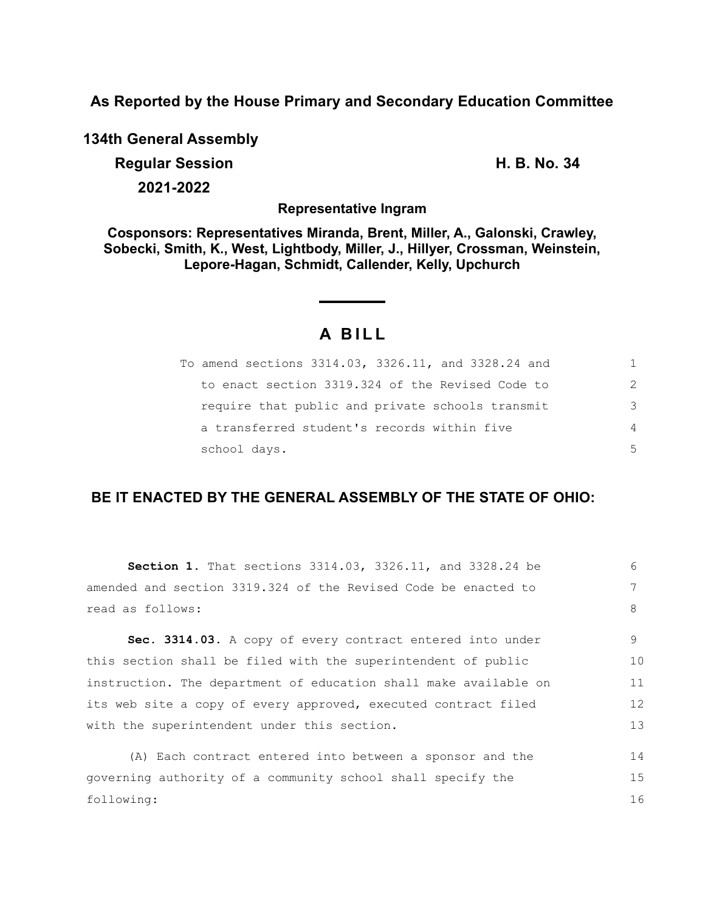**As Reported by the House Primary and Secondary Education Committee**

**134th General Assembly**

**Regular Session H. B. No. 34 2021-2022**

**Representative Ingram**

**Cosponsors: Representatives Miranda, Brent, Miller, A., Galonski, Crawley, Sobecki, Smith, K., West, Lightbody, Miller, J., Hillyer, Crossman, Weinstein, Lepore-Hagan, Schmidt, Callender, Kelly, Upchurch**

# **A B I L L**

| To amend sections 3314.03, 3326.11, and 3328.24 and | 1. |
|-----------------------------------------------------|----|
| to enact section 3319.324 of the Revised Code to    | 2  |
| require that public and private schools transmit    | 3  |
| a transferred student's records within five         | 4  |
| school days.                                        | 5  |

## **BE IT ENACTED BY THE GENERAL ASSEMBLY OF THE STATE OF OHIO:**

| Section 1. That sections 3314.03, 3326.11, and 3328.24 be        | 6  |  |  |  |  |
|------------------------------------------------------------------|----|--|--|--|--|
| amended and section 3319.324 of the Revised Code be enacted to   | 7  |  |  |  |  |
| read as follows:                                                 | 8  |  |  |  |  |
| Sec. 3314.03. A copy of every contract entered into under        | 9  |  |  |  |  |
| this section shall be filed with the superintendent of public    | 10 |  |  |  |  |
| instruction. The department of education shall make available on |    |  |  |  |  |
| its web site a copy of every approved, executed contract filed   |    |  |  |  |  |
| with the superintendent under this section.                      |    |  |  |  |  |
| (A) Each contract entered into between a sponsor and the         | 14 |  |  |  |  |
| governing authority of a community school shall specify the      | 15 |  |  |  |  |
| following:                                                       |    |  |  |  |  |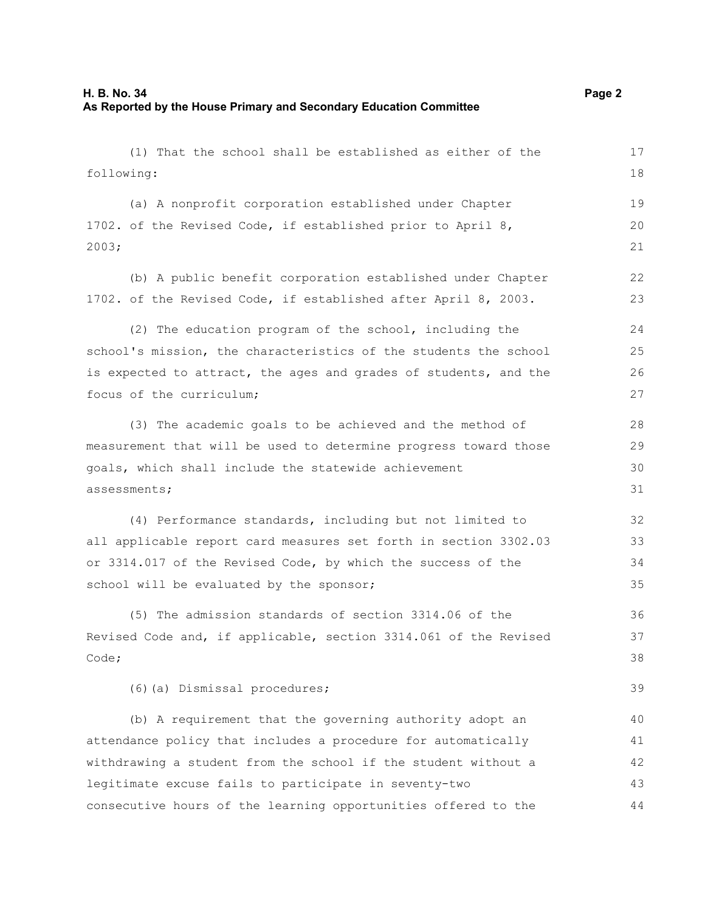(1) That the school shall be established as either of the following: (a) A nonprofit corporation established under Chapter 1702. of the Revised Code, if established prior to April 8, 2003; (b) A public benefit corporation established under Chapter 1702. of the Revised Code, if established after April 8, 2003. (2) The education program of the school, including the school's mission, the characteristics of the students the school is expected to attract, the ages and grades of students, and the focus of the curriculum; (3) The academic goals to be achieved and the method of measurement that will be used to determine progress toward those goals, which shall include the statewide achievement assessments; (4) Performance standards, including but not limited to all applicable report card measures set forth in section 3302.03 or 3314.017 of the Revised Code, by which the success of the school will be evaluated by the sponsor; (5) The admission standards of section 3314.06 of the Revised Code and, if applicable, section 3314.061 of the Revised Code; (6)(a) Dismissal procedures; (b) A requirement that the governing authority adopt an attendance policy that includes a procedure for automatically withdrawing a student from the school if the student without a 17 18 19 20 21 22 23  $24$ 25 26 27 28 29 30 31 32 33 34 35 36 37 38 39 40 41 42

legitimate excuse fails to participate in seventy-two consecutive hours of the learning opportunities offered to the 43 44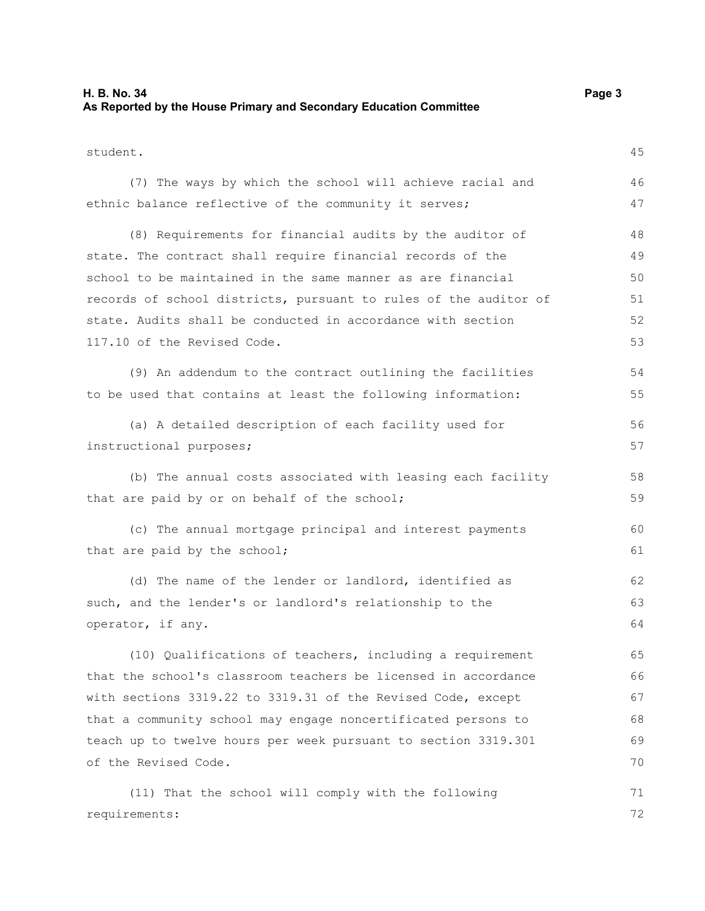#### **H. B. No. 34 Page 3 As Reported by the House Primary and Secondary Education Committee**

| student.                                                         | 45 |  |  |  |  |
|------------------------------------------------------------------|----|--|--|--|--|
| (7) The ways by which the school will achieve racial and         | 46 |  |  |  |  |
| ethnic balance reflective of the community it serves;            | 47 |  |  |  |  |
| (8) Requirements for financial audits by the auditor of          | 48 |  |  |  |  |
| state. The contract shall require financial records of the       | 49 |  |  |  |  |
| school to be maintained in the same manner as are financial      | 50 |  |  |  |  |
| records of school districts, pursuant to rules of the auditor of | 51 |  |  |  |  |
| state. Audits shall be conducted in accordance with section      | 52 |  |  |  |  |
| 117.10 of the Revised Code.                                      | 53 |  |  |  |  |
| (9) An addendum to the contract outlining the facilities         | 54 |  |  |  |  |
| to be used that contains at least the following information:     | 55 |  |  |  |  |
| (a) A detailed description of each facility used for             | 56 |  |  |  |  |
| instructional purposes;                                          | 57 |  |  |  |  |
| (b) The annual costs associated with leasing each facility       | 58 |  |  |  |  |
| that are paid by or on behalf of the school;                     | 59 |  |  |  |  |
| (c) The annual mortgage principal and interest payments          | 60 |  |  |  |  |
| that are paid by the school;                                     | 61 |  |  |  |  |
| (d) The name of the lender or landlord, identified as            | 62 |  |  |  |  |
| such, and the lender's or landlord's relationship to the         | 63 |  |  |  |  |
| operator, if any.                                                | 64 |  |  |  |  |
| (10) Qualifications of teachers, including a requirement         | 65 |  |  |  |  |
| that the school's classroom teachers be licensed in accordance   | 66 |  |  |  |  |
| with sections 3319.22 to 3319.31 of the Revised Code, except     | 67 |  |  |  |  |
| that a community school may engage noncertificated persons to    | 68 |  |  |  |  |
| teach up to twelve hours per week pursuant to section 3319.301   |    |  |  |  |  |
| of the Revised Code.                                             | 70 |  |  |  |  |
| (11) That the school will comply with the following              | 71 |  |  |  |  |
| requirements:                                                    | 72 |  |  |  |  |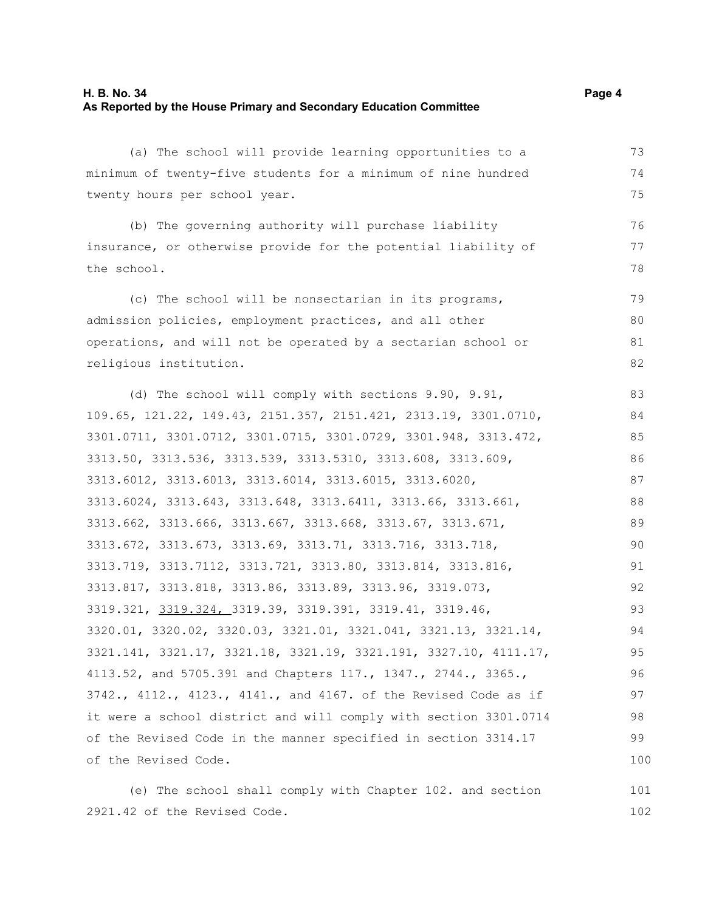#### **H. B. No. 34 Page 4 As Reported by the House Primary and Secondary Education Committee**

(a) The school will provide learning opportunities to a minimum of twenty-five students for a minimum of nine hundred twenty hours per school year.

(b) The governing authority will purchase liability insurance, or otherwise provide for the potential liability of the school.

(c) The school will be nonsectarian in its programs, admission policies, employment practices, and all other operations, and will not be operated by a sectarian school or religious institution. 79 80 81 82

(d) The school will comply with sections 9.90, 9.91, 109.65, 121.22, 149.43, 2151.357, 2151.421, 2313.19, 3301.0710, 3301.0711, 3301.0712, 3301.0715, 3301.0729, 3301.948, 3313.472, 3313.50, 3313.536, 3313.539, 3313.5310, 3313.608, 3313.609, 3313.6012, 3313.6013, 3313.6014, 3313.6015, 3313.6020, 3313.6024, 3313.643, 3313.648, 3313.6411, 3313.66, 3313.661, 3313.662, 3313.666, 3313.667, 3313.668, 3313.67, 3313.671, 3313.672, 3313.673, 3313.69, 3313.71, 3313.716, 3313.718, 3313.719, 3313.7112, 3313.721, 3313.80, 3313.814, 3313.816, 3313.817, 3313.818, 3313.86, 3313.89, 3313.96, 3319.073, 3319.321, 3319.324, 3319.39, 3319.391, 3319.41, 3319.46, 3320.01, 3320.02, 3320.03, 3321.01, 3321.041, 3321.13, 3321.14, 3321.141, 3321.17, 3321.18, 3321.19, 3321.191, 3327.10, 4111.17, 4113.52, and 5705.391 and Chapters 117., 1347., 2744., 3365., 3742., 4112., 4123., 4141., and 4167. of the Revised Code as if it were a school district and will comply with section 3301.0714 of the Revised Code in the manner specified in section 3314.17 of the Revised Code. 83 84 85 86 87 88 89 90 91 92 93 94 95 96 97 98 99 100

(e) The school shall comply with Chapter 102. and section 2921.42 of the Revised Code. 101 102

73 74 75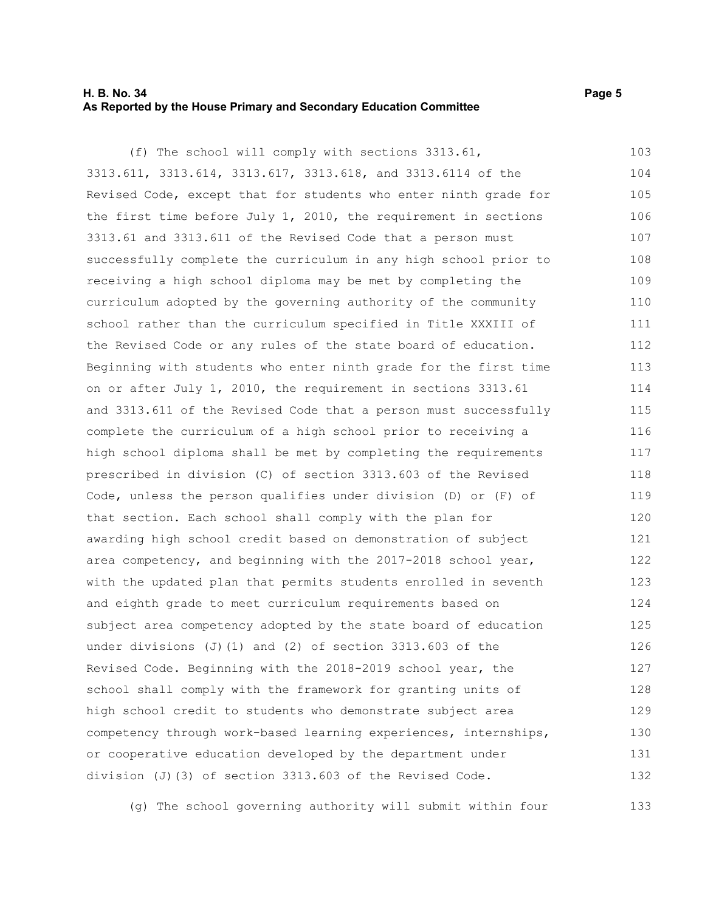#### **H. B. No. 34 Page 5 As Reported by the House Primary and Secondary Education Committee**

(f) The school will comply with sections 3313.61, 3313.611, 3313.614, 3313.617, 3313.618, and 3313.6114 of the Revised Code, except that for students who enter ninth grade for the first time before July  $1$ , 2010, the requirement in sections 3313.61 and 3313.611 of the Revised Code that a person must successfully complete the curriculum in any high school prior to receiving a high school diploma may be met by completing the curriculum adopted by the governing authority of the community school rather than the curriculum specified in Title XXXIII of the Revised Code or any rules of the state board of education. Beginning with students who enter ninth grade for the first time on or after July 1, 2010, the requirement in sections 3313.61 and 3313.611 of the Revised Code that a person must successfully complete the curriculum of a high school prior to receiving a high school diploma shall be met by completing the requirements prescribed in division (C) of section 3313.603 of the Revised Code, unless the person qualifies under division (D) or (F) of that section. Each school shall comply with the plan for awarding high school credit based on demonstration of subject area competency, and beginning with the 2017-2018 school year, with the updated plan that permits students enrolled in seventh and eighth grade to meet curriculum requirements based on subject area competency adopted by the state board of education under divisions (J)(1) and (2) of section  $3313.603$  of the Revised Code. Beginning with the 2018-2019 school year, the school shall comply with the framework for granting units of high school credit to students who demonstrate subject area competency through work-based learning experiences, internships, or cooperative education developed by the department under division (J)(3) of section 3313.603 of the Revised Code. 103 104 105 106 107 108 109 110 111 112 113 114 115 116 117 118 119 120 121 122 123 124 125 126 127 128 129 130 131 132

(g) The school governing authority will submit within four 133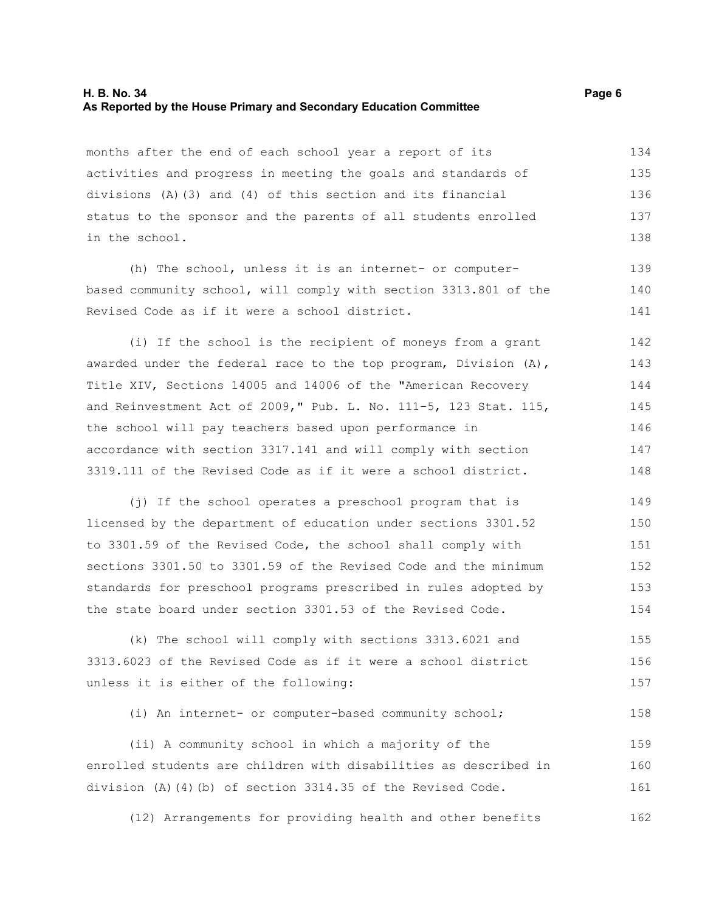#### **H. B. No. 34 Page 6 As Reported by the House Primary and Secondary Education Committee**

months after the end of each school year a report of its activities and progress in meeting the goals and standards of divisions (A)(3) and (4) of this section and its financial status to the sponsor and the parents of all students enrolled in the school. 134 135 136 137 138

(h) The school, unless it is an internet- or computerbased community school, will comply with section 3313.801 of the Revised Code as if it were a school district.

(i) If the school is the recipient of moneys from a grant awarded under the federal race to the top program, Division (A), Title XIV, Sections 14005 and 14006 of the "American Recovery and Reinvestment Act of 2009," Pub. L. No. 111-5, 123 Stat. 115, the school will pay teachers based upon performance in accordance with section 3317.141 and will comply with section 3319.111 of the Revised Code as if it were a school district. 142 143 144 145 146 147 148

(j) If the school operates a preschool program that is licensed by the department of education under sections 3301.52 to 3301.59 of the Revised Code, the school shall comply with sections 3301.50 to 3301.59 of the Revised Code and the minimum standards for preschool programs prescribed in rules adopted by the state board under section 3301.53 of the Revised Code. 149 150 151 152 153 154

(k) The school will comply with sections 3313.6021 and 3313.6023 of the Revised Code as if it were a school district unless it is either of the following: 155 156 157

(i) An internet- or computer-based community school; 158

(ii) A community school in which a majority of the enrolled students are children with disabilities as described in division (A)(4)(b) of section 3314.35 of the Revised Code. 159 160 161

(12) Arrangements for providing health and other benefits 162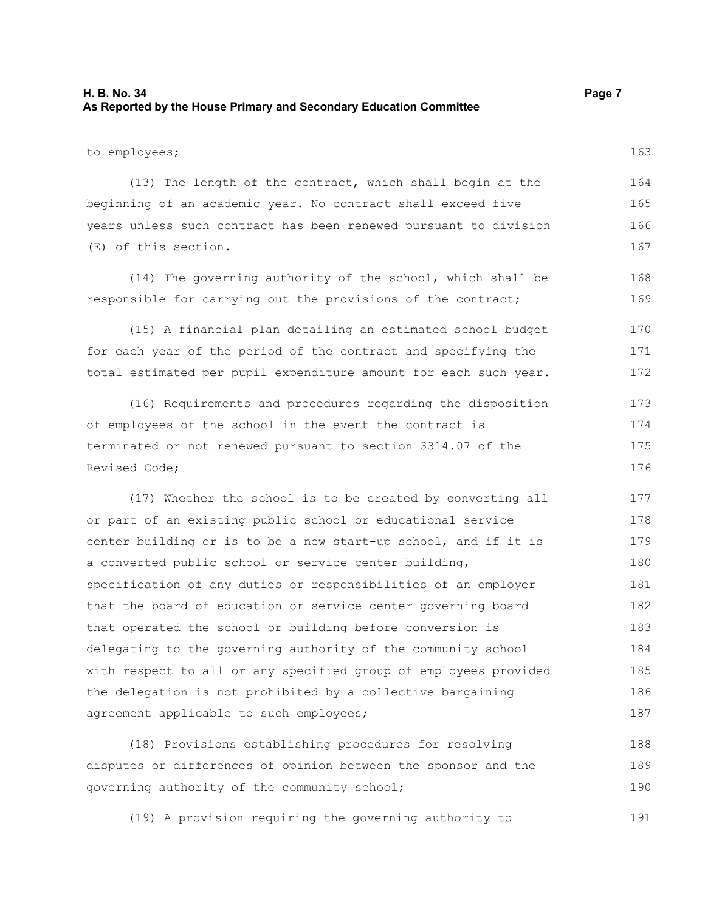#### **H. B. No. 34 Page 7 As Reported by the House Primary and Secondary Education Committee**

to employees;

(13) The length of the contract, which shall begin at the beginning of an academic year. No contract shall exceed five years unless such contract has been renewed pursuant to division (E) of this section. 164 165 166 167

(14) The governing authority of the school, which shall be responsible for carrying out the provisions of the contract;

(15) A financial plan detailing an estimated school budget for each year of the period of the contract and specifying the total estimated per pupil expenditure amount for each such year. 170 171 172

(16) Requirements and procedures regarding the disposition of employees of the school in the event the contract is terminated or not renewed pursuant to section 3314.07 of the Revised Code; 173 174 175 176

(17) Whether the school is to be created by converting all or part of an existing public school or educational service center building or is to be a new start-up school, and if it is a converted public school or service center building, specification of any duties or responsibilities of an employer that the board of education or service center governing board that operated the school or building before conversion is delegating to the governing authority of the community school with respect to all or any specified group of employees provided the delegation is not prohibited by a collective bargaining agreement applicable to such employees; 177 178 179 180 181 182 183 184 185 186 187

(18) Provisions establishing procedures for resolving disputes or differences of opinion between the sponsor and the governing authority of the community school; 188 189 190

(19) A provision requiring the governing authority to 191

163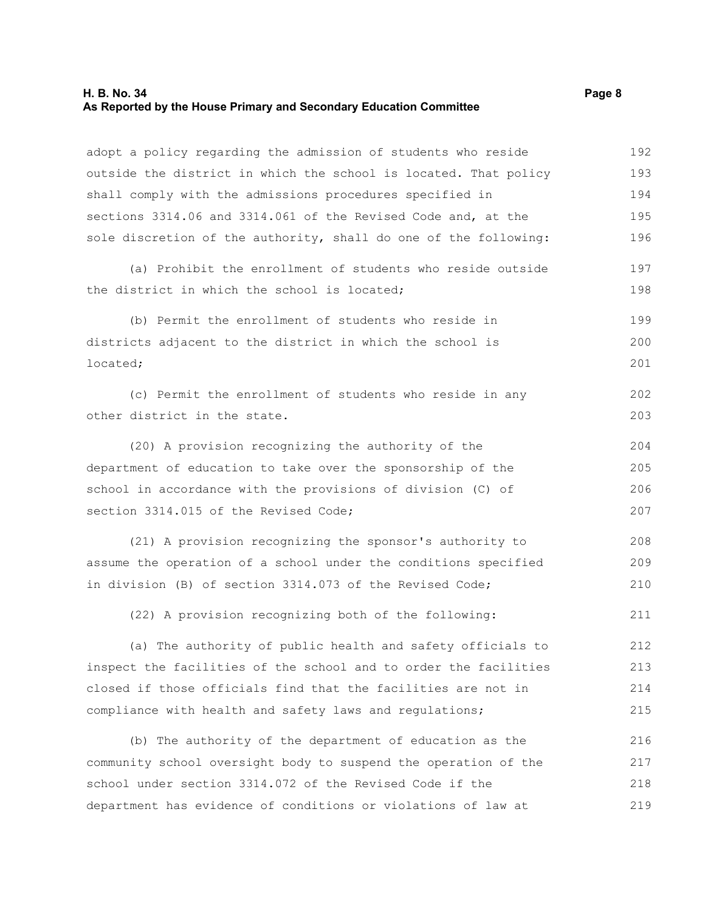### **H. B. No. 34 Page 8 As Reported by the House Primary and Secondary Education Committee**

| adopt a policy regarding the admission of students who reside    | 192 |  |  |  |  |
|------------------------------------------------------------------|-----|--|--|--|--|
| outside the district in which the school is located. That policy | 193 |  |  |  |  |
| shall comply with the admissions procedures specified in         | 194 |  |  |  |  |
| sections 3314.06 and 3314.061 of the Revised Code and, at the    | 195 |  |  |  |  |
| sole discretion of the authority, shall do one of the following: | 196 |  |  |  |  |
| (a) Prohibit the enrollment of students who reside outside       | 197 |  |  |  |  |
| the district in which the school is located;                     | 198 |  |  |  |  |
| (b) Permit the enrollment of students who reside in              | 199 |  |  |  |  |
| districts adjacent to the district in which the school is        | 200 |  |  |  |  |
| located;                                                         | 201 |  |  |  |  |
| (c) Permit the enrollment of students who reside in any          | 202 |  |  |  |  |
| other district in the state.                                     | 203 |  |  |  |  |
| (20) A provision recognizing the authority of the                | 204 |  |  |  |  |
| department of education to take over the sponsorship of the      | 205 |  |  |  |  |
| school in accordance with the provisions of division (C) of      |     |  |  |  |  |
| section 3314.015 of the Revised Code;                            | 207 |  |  |  |  |
| (21) A provision recognizing the sponsor's authority to          | 208 |  |  |  |  |
| assume the operation of a school under the conditions specified  | 209 |  |  |  |  |
| in division (B) of section 3314.073 of the Revised Code;         | 210 |  |  |  |  |
| (22) A provision recognizing both of the following:              | 211 |  |  |  |  |
| (a) The authority of public health and safety officials to       | 212 |  |  |  |  |
| inspect the facilities of the school and to order the facilities | 213 |  |  |  |  |
| closed if those officials find that the facilities are not in    | 214 |  |  |  |  |
| compliance with health and safety laws and regulations;          | 215 |  |  |  |  |
| (b) The authority of the department of education as the          | 216 |  |  |  |  |
| community school oversight body to suspend the operation of the  | 217 |  |  |  |  |
| school under section 3314.072 of the Revised Code if the         | 218 |  |  |  |  |
| department has evidence of conditions or violations of law at    | 219 |  |  |  |  |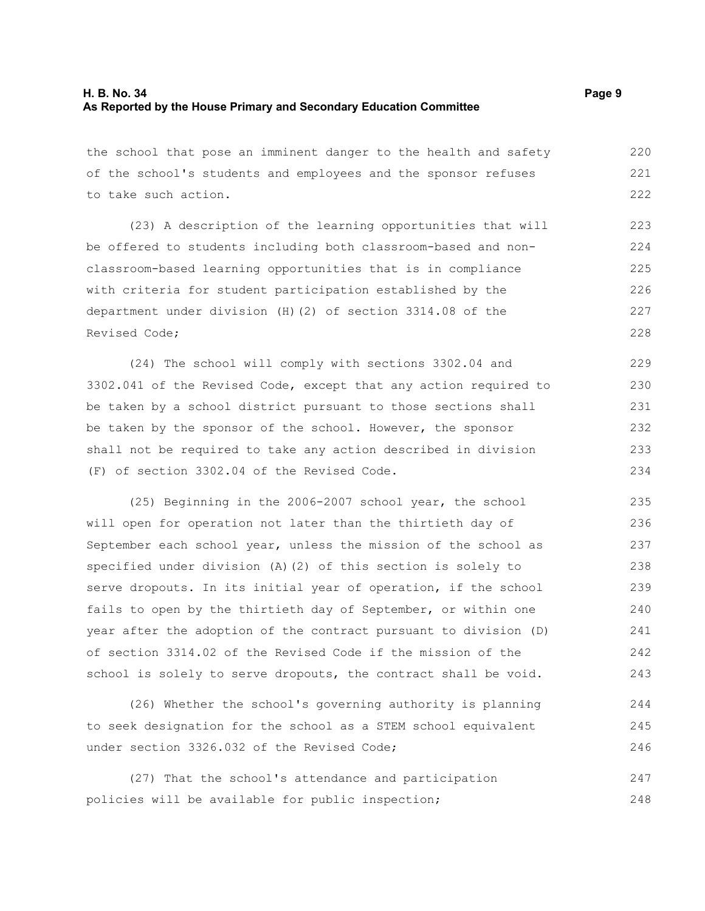the school that pose an imminent danger to the health and safety of the school's students and employees and the sponsor refuses to take such action. 220 221 222

(23) A description of the learning opportunities that will be offered to students including both classroom-based and nonclassroom-based learning opportunities that is in compliance with criteria for student participation established by the department under division (H)(2) of section 3314.08 of the Revised Code; 223 224 225 226 227 228

(24) The school will comply with sections 3302.04 and 3302.041 of the Revised Code, except that any action required to be taken by a school district pursuant to those sections shall be taken by the sponsor of the school. However, the sponsor shall not be required to take any action described in division (F) of section 3302.04 of the Revised Code. 229 230 231 232 233 234

(25) Beginning in the 2006-2007 school year, the school will open for operation not later than the thirtieth day of September each school year, unless the mission of the school as specified under division (A)(2) of this section is solely to serve dropouts. In its initial year of operation, if the school fails to open by the thirtieth day of September, or within one year after the adoption of the contract pursuant to division (D) of section 3314.02 of the Revised Code if the mission of the school is solely to serve dropouts, the contract shall be void. 235 236 237 238 239 240 241 242 243

(26) Whether the school's governing authority is planning to seek designation for the school as a STEM school equivalent under section 3326.032 of the Revised Code; 244 245 246

(27) That the school's attendance and participation policies will be available for public inspection; 247 248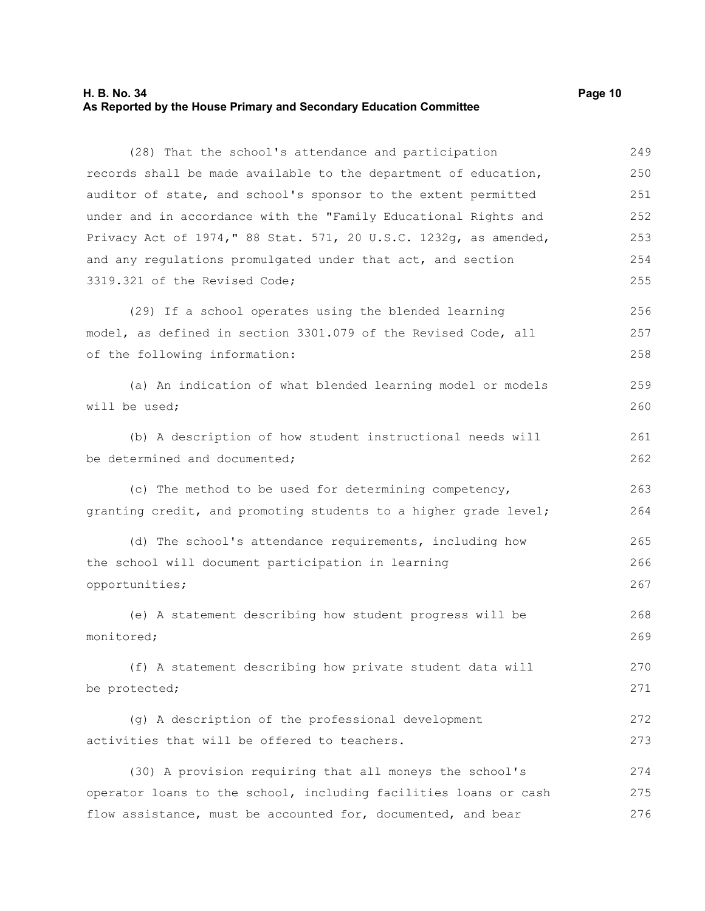#### **H. B. No. 34 Page 10 As Reported by the House Primary and Secondary Education Committee**

(28) That the school's attendance and participation records shall be made available to the department of education, auditor of state, and school's sponsor to the extent permitted under and in accordance with the "Family Educational Rights and Privacy Act of 1974," 88 Stat. 571, 20 U.S.C. 1232g, as amended, and any regulations promulgated under that act, and section 3319.321 of the Revised Code; 249 250 251 252 253 254 255

(29) If a school operates using the blended learning model, as defined in section 3301.079 of the Revised Code, all of the following information: 256 257 258

(a) An indication of what blended learning model or models will be used; 259 260

(b) A description of how student instructional needs will be determined and documented;

(c) The method to be used for determining competency, granting credit, and promoting students to a higher grade level; 263 264

(d) The school's attendance requirements, including how the school will document participation in learning opportunities; 265 266 267

(e) A statement describing how student progress will be monitored; 268 269

(f) A statement describing how private student data will be protected; 270 271

(g) A description of the professional development activities that will be offered to teachers. 272 273

(30) A provision requiring that all moneys the school's operator loans to the school, including facilities loans or cash flow assistance, must be accounted for, documented, and bear 274 275 276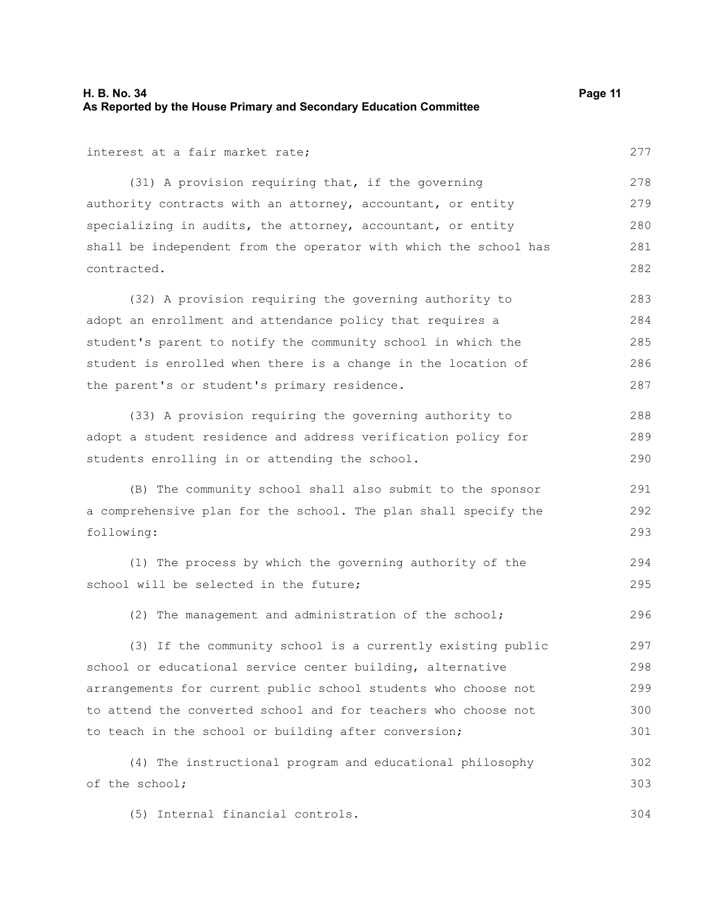interest at a fair market rate;

(31) A provision requiring that, if the governing authority contracts with an attorney, accountant, or entity specializing in audits, the attorney, accountant, or entity shall be independent from the operator with which the school has contracted. 278 279 280 281 282

(32) A provision requiring the governing authority to adopt an enrollment and attendance policy that requires a student's parent to notify the community school in which the student is enrolled when there is a change in the location of the parent's or student's primary residence. 283 284 285 286 287

(33) A provision requiring the governing authority to adopt a student residence and address verification policy for students enrolling in or attending the school.

(B) The community school shall also submit to the sponsor a comprehensive plan for the school. The plan shall specify the following:

(1) The process by which the governing authority of the school will be selected in the future; 294 295

(2) The management and administration of the school; 296

(3) If the community school is a currently existing public school or educational service center building, alternative arrangements for current public school students who choose not to attend the converted school and for teachers who choose not to teach in the school or building after conversion; 297 298 299 300 301

(4) The instructional program and educational philosophy of the school; 302 303

(5) Internal financial controls. 304

277

288 289 290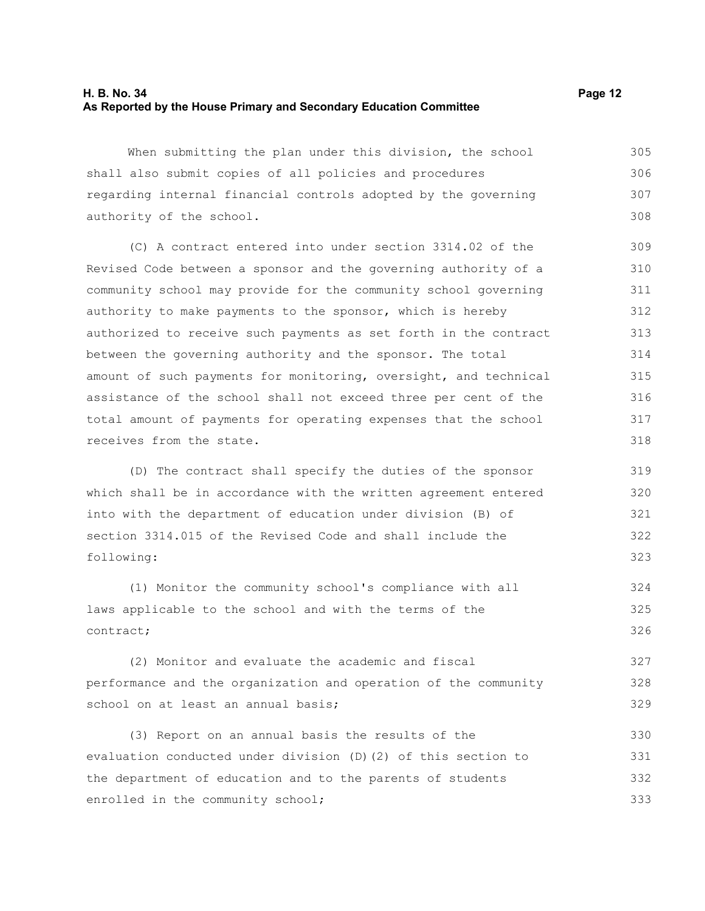#### **H. B. No. 34 Page 12 As Reported by the House Primary and Secondary Education Committee**

When submitting the plan under this division, the school shall also submit copies of all policies and procedures regarding internal financial controls adopted by the governing authority of the school. 305 306 307 308

(C) A contract entered into under section 3314.02 of the Revised Code between a sponsor and the governing authority of a community school may provide for the community school governing authority to make payments to the sponsor, which is hereby authorized to receive such payments as set forth in the contract between the governing authority and the sponsor. The total amount of such payments for monitoring, oversight, and technical assistance of the school shall not exceed three per cent of the total amount of payments for operating expenses that the school receives from the state.

(D) The contract shall specify the duties of the sponsor which shall be in accordance with the written agreement entered into with the department of education under division (B) of section 3314.015 of the Revised Code and shall include the following:

(1) Monitor the community school's compliance with all laws applicable to the school and with the terms of the contract; 324 325 326

(2) Monitor and evaluate the academic and fiscal performance and the organization and operation of the community school on at least an annual basis; 327 328 329

(3) Report on an annual basis the results of the evaluation conducted under division (D)(2) of this section to the department of education and to the parents of students enrolled in the community school; 330 331 332 333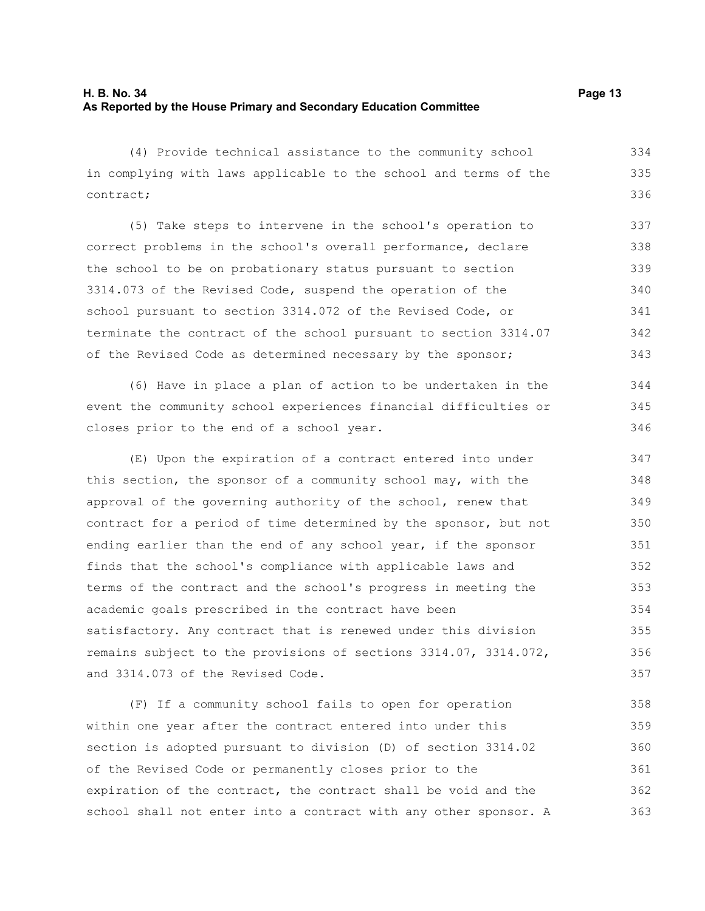(4) Provide technical assistance to the community school in complying with laws applicable to the school and terms of the contract; 334 335 336

(5) Take steps to intervene in the school's operation to correct problems in the school's overall performance, declare the school to be on probationary status pursuant to section 3314.073 of the Revised Code, suspend the operation of the school pursuant to section 3314.072 of the Revised Code, or terminate the contract of the school pursuant to section 3314.07 of the Revised Code as determined necessary by the sponsor; 337 338 339 340 341 342 343

(6) Have in place a plan of action to be undertaken in the event the community school experiences financial difficulties or closes prior to the end of a school year.

(E) Upon the expiration of a contract entered into under this section, the sponsor of a community school may, with the approval of the governing authority of the school, renew that contract for a period of time determined by the sponsor, but not ending earlier than the end of any school year, if the sponsor finds that the school's compliance with applicable laws and terms of the contract and the school's progress in meeting the academic goals prescribed in the contract have been satisfactory. Any contract that is renewed under this division remains subject to the provisions of sections 3314.07, 3314.072, and 3314.073 of the Revised Code. 347 348 349 350 351 352 353 354 355 356 357

(F) If a community school fails to open for operation within one year after the contract entered into under this section is adopted pursuant to division (D) of section 3314.02 of the Revised Code or permanently closes prior to the expiration of the contract, the contract shall be void and the school shall not enter into a contract with any other sponsor. A 358 359 360 361 362 363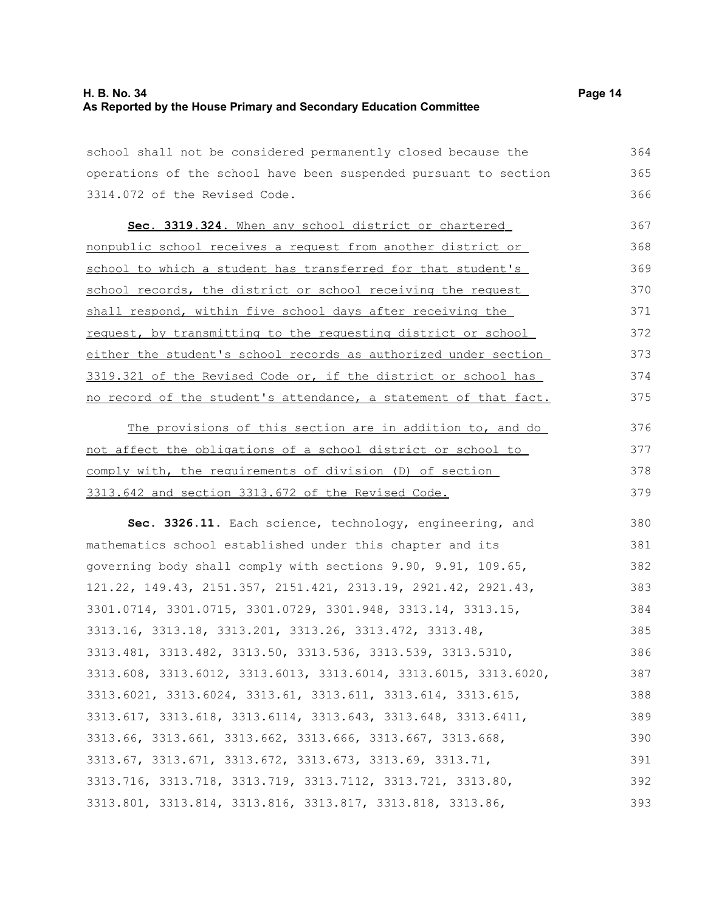school shall not be considered permanently closed because the operations of the school have been suspended pursuant to section 3314.072 of the Revised Code. 364 365

 **Sec. 3319.324.** When any school district or chartered nonpublic school receives a request from another district or school to which a student has transferred for that student's school records, the district or school receiving the request shall respond, within five school days after receiving the request, by transmitting to the requesting district or school either the student's school records as authorized under section 3319.321 of the Revised Code or, if the district or school has no record of the student's attendance, a statement of that fact. 367 368 369 370 371 372 373 374 375

The provisions of this section are in addition to, and do not affect the obligations of a school district or school to comply with, the requirements of division (D) of section 3313.642 and section 3313.672 of the Revised Code. 376 377 378 379

**Sec. 3326.11.** Each science, technology, engineering, and mathematics school established under this chapter and its governing body shall comply with sections 9.90, 9.91, 109.65, 121.22, 149.43, 2151.357, 2151.421, 2313.19, 2921.42, 2921.43, 3301.0714, 3301.0715, 3301.0729, 3301.948, 3313.14, 3313.15, 3313.16, 3313.18, 3313.201, 3313.26, 3313.472, 3313.48, 3313.481, 3313.482, 3313.50, 3313.536, 3313.539, 3313.5310, 3313.608, 3313.6012, 3313.6013, 3313.6014, 3313.6015, 3313.6020, 3313.6021, 3313.6024, 3313.61, 3313.611, 3313.614, 3313.615, 3313.617, 3313.618, 3313.6114, 3313.643, 3313.648, 3313.6411, 3313.66, 3313.661, 3313.662, 3313.666, 3313.667, 3313.668, 3313.67, 3313.671, 3313.672, 3313.673, 3313.69, 3313.71, 3313.716, 3313.718, 3313.719, 3313.7112, 3313.721, 3313.80, 3313.801, 3313.814, 3313.816, 3313.817, 3313.818, 3313.86, 380 381 382 383 384 385 386 387 388 389 390 391 392 393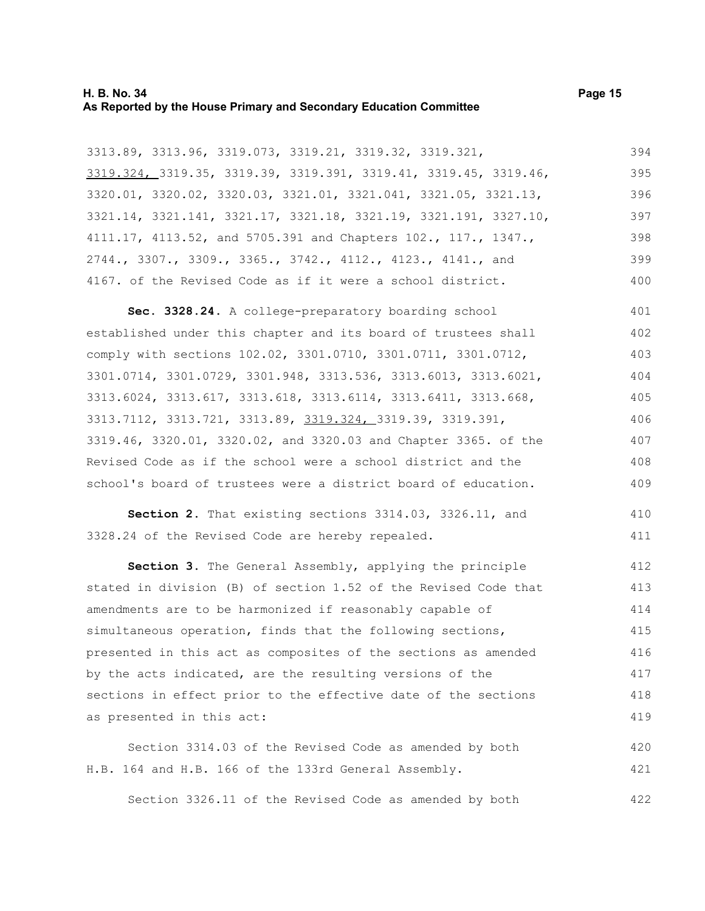#### **H. B. No. 34 Page 15 As Reported by the House Primary and Secondary Education Committee**

3313.89, 3313.96, 3319.073, 3319.21, 3319.32, 3319.321, 3319.324, 3319.35, 3319.39, 3319.391, 3319.41, 3319.45, 3319.46, 3320.01, 3320.02, 3320.03, 3321.01, 3321.041, 3321.05, 3321.13, 3321.14, 3321.141, 3321.17, 3321.18, 3321.19, 3321.191, 3327.10,

4111.17, 4113.52, and 5705.391 and Chapters 102., 117., 1347., 2744., 3307., 3309., 3365., 3742., 4112., 4123., 4141., and 4167. of the Revised Code as if it were a school district. 397 398 399 400

**Sec. 3328.24.** A college-preparatory boarding school established under this chapter and its board of trustees shall comply with sections 102.02, 3301.0710, 3301.0711, 3301.0712, 3301.0714, 3301.0729, 3301.948, 3313.536, 3313.6013, 3313.6021, 3313.6024, 3313.617, 3313.618, 3313.6114, 3313.6411, 3313.668, 3313.7112, 3313.721, 3313.89, 3319.324, 3319.39, 3319.391, 3319.46, 3320.01, 3320.02, and 3320.03 and Chapter 3365. of the Revised Code as if the school were a school district and the school's board of trustees were a district board of education. 401 402 403 404 405 406 407 408 409

**Section 2.** That existing sections 3314.03, 3326.11, and 3328.24 of the Revised Code are hereby repealed. 410 411

**Section 3.** The General Assembly, applying the principle stated in division (B) of section 1.52 of the Revised Code that amendments are to be harmonized if reasonably capable of simultaneous operation, finds that the following sections, presented in this act as composites of the sections as amended by the acts indicated, are the resulting versions of the sections in effect prior to the effective date of the sections as presented in this act: 412 413 414 415 416 417 418 419

Section 3314.03 of the Revised Code as amended by both H.B. 164 and H.B. 166 of the 133rd General Assembly. 420 421

Section 3326.11 of the Revised Code as amended by both

394 395 396